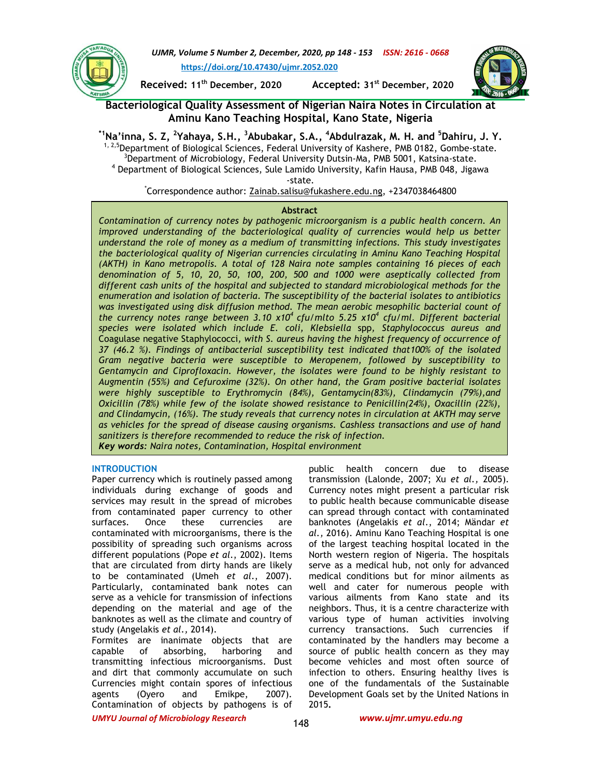

*UJMR, Volume 5 Number 2, December, 2020, pp 148 - 153 ISSN: 2616 - 0668* **https://doi.org/10.47430/ujmr.2052.020**

**Received: 11th December, 2020 Accepted: 31st December, 2020**



**Bacteriological Quality Assessment of Nigerian Naira Notes in Circulation at Aminu Kano Teaching Hospital, Kano State, Nigeria**

**\*1Na'inna, S. Z, <sup>2</sup> Yahaya, S.H., <sup>3</sup>Abubakar, S.A., <sup>4</sup>Abdulrazak, M. H. and <sup>5</sup>Dahiru, J. Y.**   $1,2.5$ Department of Biological Sciences, Federal University of Kashere, PMB 0182, Gombe-state. <sup>3</sup>Department of Microbiology, Federal University Dutsin-Ma, PMB 5001, Katsina-state. 4 Department of Biological Sciences, Sule Lamido University, Kafin Hausa, PMB 048, Jigawa -state.

\*Correspondence author: Zainab.salisu@fukashere.edu.ng, +2347038464800

## **Abstract**

*Contamination of currency notes by pathogenic microorganism is a public health concern. An improved understanding of the bacteriological quality of currencies would help us better understand the role of money as a medium of transmitting infections. This study investigates the bacteriological quality of Nigerian currencies circulating in Aminu Kano Teaching Hospital (AKTH) in Kano metropolis. A total of 128 Naira note samples containing 16 pieces of each denomination of 5, 10, 20, 50, 100, 200, 500 and 1000 were aseptically collected from different cash units of the hospital and subjected to standard microbiological methods for the enumeration and isolation of bacteria. The susceptibility of the bacterial isolates to antibiotics was investigated using disk diffusion method. The mean aerobic mesophilic bacterial count of the currency notes range between 3.10 x10<sup>4</sup>cfu/mlto 5.25 x10<sup>4</sup> cfu/ml. Different bacterial species were isolated which include E. coli, Klebsiella* spp*, Staphylococcus aureus and*  Coagulase negative Staphylococci*, with S. aureus having the highest frequency of occurrence of 37 (46.2 %). Findings of antibacterial susceptibility test indicated that100% of the isolated Gram negative bacteria were susceptible to Meropenem, followed by susceptibility to Gentamycin and Ciprofloxacin. However, the isolates were found to be highly resistant to Augmentin (55%) and Cefuroxime (32%). On other hand, the Gram positive bacterial isolates were highly susceptible to Erythromycin (84%), Gentamycin(83%), Clindamycin (79%),and Oxicillin (78%) while few of the isolate showed resistance to Penicillin(24%), Oxacillin (22%), and Clindamycin, (16%). The study reveals that currency notes in circulation at AKTH may serve as vehicles for the spread of disease causing organisms. Cashless transactions and use of hand sanitizers is therefore recommended to reduce the risk of infection. Key words: Naira notes, Contamination, Hospital environment*

## **INTRODUCTION**

Paper currency which is routinely passed among individuals during exchange of goods and services may result in the spread of microbes from contaminated paper currency to other surfaces. Once these currencies are contaminated with microorganisms, there is the possibility of spreading such organisms across different populations (Pope *et al*., 2002). Items that are circulated from dirty hands are likely to be contaminated (Umeh *et al*., 2007). Particularly, contaminated bank notes can serve as a vehicle for transmission of infections depending on the material and age of the banknotes as well as the climate and country of study (Angelakis *et al.,* 2014).

Formites are inanimate objects that are capable of absorbing, harboring and transmitting infectious microorganisms. Dust and dirt that commonly accumulate on such Currencies might contain spores of infectious agents (Oyero and Emikpe, 2007). Contamination of objects by pathogens is of

public health concern due to disease transmission (Lalonde, 2007; Xu *et al.,* 2005). Currency notes might present a particular risk to public health because communicable disease can spread through contact with contaminated banknotes (Angelakis *et al*., 2014; Mändar *et al.,* 2016). Aminu Kano Teaching Hospital is one of the largest teaching hospital located in the North western region of Nigeria. The hospitals serve as a medical hub, not only for advanced medical conditions but for minor ailments as well and cater for numerous people with various ailments from Kano state and its neighbors. Thus, it is a centre characterize with various type of human activities involving currency transactions. Such currencies if contaminated by the handlers may become a source of public health concern as they may become vehicles and most often source of infection to others. Ensuring healthy lives is one of the fundamentals of the Sustainable Development Goals set by the United Nations in 2015**.**

*UMYU Journal of Microbiology Research www.ujmr.umyu.edu.ng*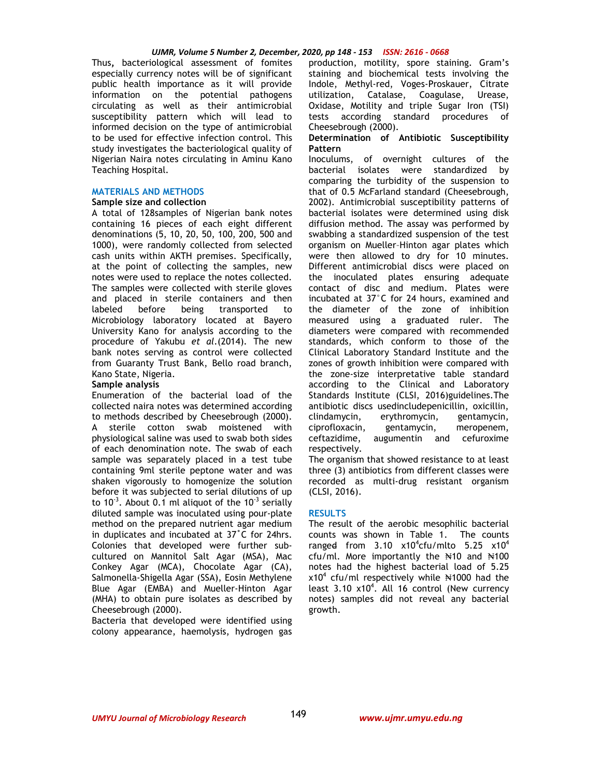Thus**,** bacteriological assessment of fomites especially currency notes will be of significant public health importance as it will provide information on the potential pathogens circulating as well as their antimicrobial susceptibility pattern which will lead to informed decision on the type of antimicrobial to be used for effective infection control. This study investigates the bacteriological quality of Nigerian Naira notes circulating in Aminu Kano Teaching Hospital.

## **MATERIALS AND METHODS**

## **Sample size and collection**

A total of 128samples of Nigerian bank notes containing 16 pieces of each eight different denominations (5, 10, 20, 50, 100, 200, 500 and 1000), were randomly collected from selected cash units within AKTH premises. Specifically, at the point of collecting the samples, new notes were used to replace the notes collected. The samples were collected with sterile gloves and placed in sterile containers and then labeled before being transported to Microbiology laboratory located at Bayero University Kano for analysis according to the procedure of Yakubu *et al.*(2014). The new bank notes serving as control were collected from Guaranty Trust Bank, Bello road branch, Kano State, Nigeria.

## **Sample analysis**

Enumeration of the bacterial load of the collected naira notes was determined according to methods described by Cheesebrough (2000). A sterile cotton swab moistened with physiological saline was used to swab both sides of each denomination note. The swab of each sample was separately placed in a test tube containing 9ml sterile peptone water and was shaken vigorously to homogenize the solution before it was subjected to serial dilutions of up to  $10^{-3}$ . About 0.1 ml aliquot of the  $10^{-3}$  serially diluted sample was inoculated using pour-plate method on the prepared nutrient agar medium in duplicates and incubated at 37˚C for 24hrs. Colonies that developed were further subcultured on Mannitol Salt Agar (MSA), Mac Conkey Agar (MCA), Chocolate Agar (CA), Salmonella-Shigella Agar (SSA), Eosin Methylene Blue Agar (EMBA) and Mueller-Hinton Agar (MHA) to obtain pure isolates as described by Cheesebrough (2000).

Bacteria that developed were identified using colony appearance, haemolysis, hydrogen gas production, motility, spore staining. Gram's staining and biochemical tests involving the Indole, Methyl-red, Voges-Proskauer, Citrate utilization, Catalase, Coagulase, Urease, Oxidase, Motility and triple Sugar Iron (TSI) tests according standard procedures of Cheesebrough (2000).

## **Determination of Antibiotic Susceptibility Pattern**

Inoculums, of overnight cultures of the bacterial isolates were standardized by comparing the turbidity of the suspension to that of 0.5 McFarland standard (Cheesebrough, 2002). Antimicrobial susceptibility patterns of bacterial isolates were determined using disk diffusion method. The assay was performed by swabbing a standardized suspension of the test organism on Mueller–Hinton agar plates which were then allowed to dry for 10 minutes. Different antimicrobial discs were placed on the inoculated plates ensuring adequate contact of disc and medium. Plates were incubated at 37°C for 24 hours, examined and the diameter of the zone of inhibition measured using a graduated ruler. The diameters were compared with recommended standards, which conform to those of the Clinical Laboratory Standard Institute and the zones of growth inhibition were compared with the zone-size interpretative table standard according to the Clinical and Laboratory Standards Institute (CLSI, 2016)guidelines.The antibiotic discs usedincludepenicillin, oxicillin, clindamycin, erythromycin, gentamycin, ciprofloxacin, gentamycin, meropenem, ceftazidime, augumentin and cefuroxime respectively.

The organism that showed resistance to at least three (3) antibiotics from different classes were recorded as multi-drug resistant organism (CLSI, 2016).

## **RESULTS**

The result of the aerobic mesophilic bacterial counts was shown in Table 1. The counts range<del>d</del> from 3.10 x10<sup>4</sup>cfu/mlto 5.25 x10<sup>4</sup> cfu/ml. More importantly the  $\frac{1}{2}$  and  $\frac{1}{2}$  4100 notes had the highest bacterial load of 5.25  $x10^4$  cfu/ml respectively while  $\text{N1000}$  had the least  $3.10 \times 10^4$ . All 16 control (New currency notes) samples did not reveal any bacterial growth.

149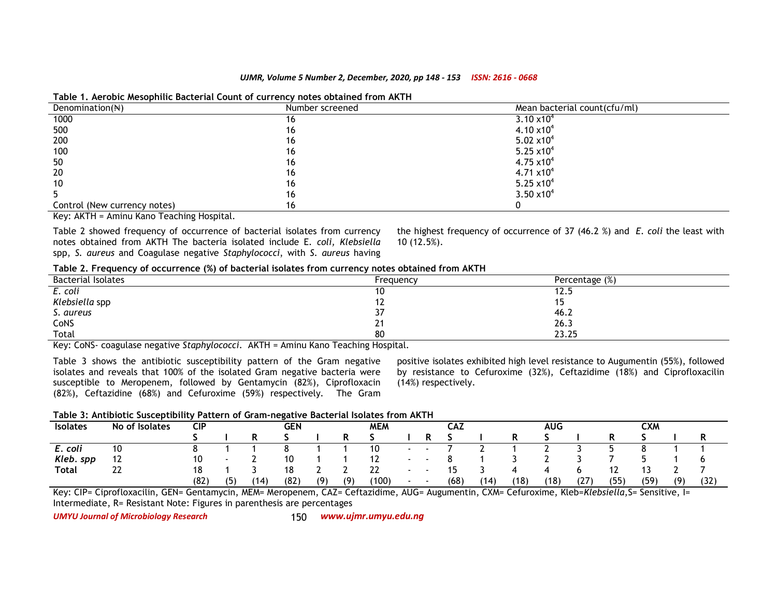| Denomination( $\mathbb{N}$ )                                                                                                                    | Number screened | Mean bacterial count(cfu/ml)  |  |
|-------------------------------------------------------------------------------------------------------------------------------------------------|-----------------|-------------------------------|--|
| 1000                                                                                                                                            | ιo              | $3.10 \times 10^{4}$          |  |
| 500                                                                                                                                             | 16              | $4.10 \times 10^{4}$          |  |
| 200                                                                                                                                             | 16              | 5.02 $\times$ 10 <sup>4</sup> |  |
| 100                                                                                                                                             | 16              | 5.25 $\times$ 10 <sup>4</sup> |  |
| 50                                                                                                                                              | 16              | $4.75 \times 10^{4}$          |  |
| 20                                                                                                                                              | 16              | $4.71 \times 10^{4}$          |  |
| 10                                                                                                                                              | 16              | 5.25 $\times$ 10 <sup>4</sup> |  |
|                                                                                                                                                 | 16              | $3.50 \times 10^{4}$          |  |
| Control (New currency notes)<br>the contract of the contract of the contract of the contract of the contract of the contract of the contract of | 16              |                               |  |

## **Table 1. Aerobic Mesophilic Bacterial Count of currency notes obtained from AKTH**

Key: AKTH = Aminu Kano Teaching Hospital.

Table 2 showed frequency of occurrence of bacterial isolates from currency notes obtained from AKTH The bacteria isolated include E*. coli, Klebsiella* spp, *S. aureus* and Coagulase negative *Staphylococci*, with *S. aureus* having the highest frequency of occurrence of 37 (46.2 %) and *E. coli* the least with 10 (12.5%).

## **Table 2. Frequency of occurrence (%) of bacterial isolates from currency notes obtained from AKTH**

| <b>Bacterial Isolates</b>                                                                                      | Frequency | Percentage (%) |  |
|----------------------------------------------------------------------------------------------------------------|-----------|----------------|--|
| E. coli                                                                                                        | 10        | 14.J           |  |
| Klebsiella spp                                                                                                 | ''        | . .            |  |
| S. aureus                                                                                                      | 37        | 46.2           |  |
| CoNS                                                                                                           | 21        | 26.3           |  |
| Total                                                                                                          | 80        | 23.25          |  |
| 그 아이들은 그 사람들은 그 사람들은 그 사람들을 지르며 그 사람들을 지르며 그 사람들을 지르며 그 사람들을 지르며 그 사람들을 지르며 그 사람들을 지르며 그 사람들을 지르며 그 사람들을 지르며 그 |           |                |  |

Key: CoNS- coagulase negative *Staphylococci*. AKTH = Aminu Kano Teaching Hospital.

Table 3 shows the antibiotic susceptibility pattern of the Gram negative isolates and reveals that 100% of the isolated Gram negative bacteria were susceptible to Meropenem, followed by Gentamycin (82%), Ciprofloxacin (82%), Ceftazidine (68%) and Cefuroxime (59%) respectively. The Gram positive isolates exhibited high level resistance to Augumentin (55%), followed by resistance to Cefuroxime (32%), Ceftazidime (18%) and Ciprofloxacilin (14%) respectively.

## **Table 3: Antibiotic Susceptibility Pattern of Gram-negative Bacterial Isolates from AKTH**

| <b>Isolates</b> | No of Isolates | <b>CIP</b> |     |      | <b>GEN</b><br><b>MEM</b> |     |     |       | CAZ    |      |      | AUG  | CXM  |      |            |          |     |        |
|-----------------|----------------|------------|-----|------|--------------------------|-----|-----|-------|--------|------|------|------|------|------|------------|----------|-----|--------|
|                 |                |            |     |      |                          |     |     |       |        |      |      |      |      |      |            |          |     | D<br>ĸ |
| E. coli         | 10             |            |     |      |                          |     |     | 10    | $\sim$ |      |      |      |      |      |            |          |     |        |
| Kleb. spp       | 12             | 10         |     |      | 10                       |     |     | ' 4   | . .    |      |      |      |      |      |            |          |     |        |
| <b>Total</b>    | ີ<br>LL        | 18         |     |      | 18                       |     |     | 22    |        | כ ו  |      |      |      |      | . <u>.</u> | <u>،</u> |     |        |
|                 |                | (82)       | (5) | (14) | (82)                     | (9) | (9) | (100) |        | (68) | (14) | (18) | (18) | (27) | (55)       | (59)     | (9) | (32)   |

Key: CIP= Ciprofloxacilin, GEN= Gentamycin, MEM= Meropenem, CAZ= Ceftazidime, AUG= Augumentin, CXM= Cefuroxime, Kleb=*Klebsiella*,S= Sensitive, I= Intermediate, R= Resistant Note: Figures in parenthesis are percentages

*UMYU Journal of Microbiology Research www.ujmr.umyu.edu.ng*

150 www.ujmr.umyu.edu.ng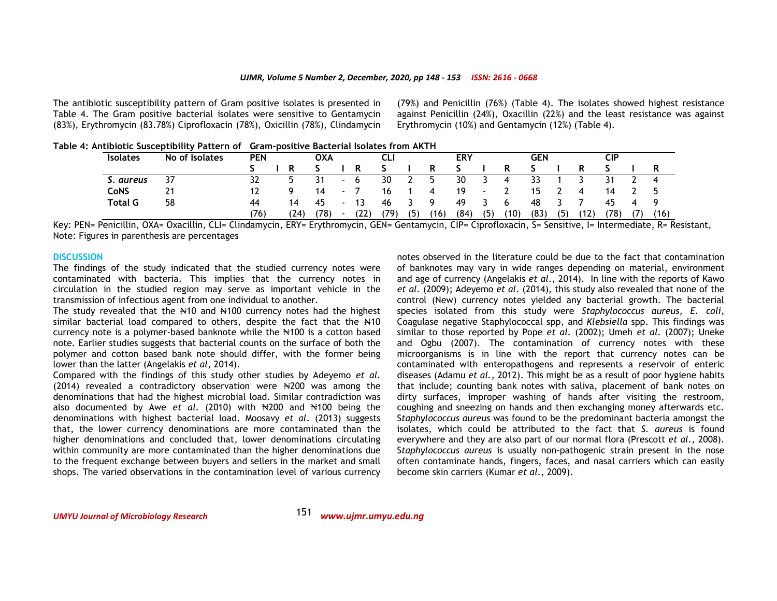The antibiotic susceptibility pattern of Gram positive isolates is presented in Table 4. The Gram positive bacterial isolates were sensitive to Gentamycin (83%), Erythromycin (83.78%) Ciprofloxacin (78%), Oxicillin (78%), Clindamycin (79%) and Penicillin (76%) (Table 4). The isolates showed highest resistance against Penicillin (24%), Oxacillin (22%) and the least resistance was against Erythromycin (10%) and Gentamycin (12%) (Table 4).

**Table 4: Antibiotic Susceptibility Pattern of Gram-positive Bacterial Isolates from AKTH** 

| <b>Isolates</b> | No of Isolates | <b>PEN</b> | OXA  |      |             | CLI. |      |     | <b>ERY</b> |      |        |      | <b>GEN</b> |     |      | CIP  |    |      |
|-----------------|----------------|------------|------|------|-------------|------|------|-----|------------|------|--------|------|------------|-----|------|------|----|------|
|                 |                |            | R    |      |             | R    |      |     | R          |      |        |      |            |     |      |      |    |      |
| S. aureus       | 37             |            |      | 31   | $\sim$      | 6    | 30   | ▴   | b.         | 30   |        | -4   | 33         |     |      | 31   |    | 4    |
| CoNS            |                |            | Q    | 14   | $\sim$      |      | 16   |     | 4          | 19   | $\sim$ |      | 15         |     | 4    | 14   |    | `    |
| <b>Total G</b>  | 58             | 44         | 14   | 45   | $\,$        | 13   | 46   |     | Q          | 49   |        | 6    | 48         |     |      | 45   | 4  | Q    |
|                 |                | (76)       | (24) | (78) | $\,$ – $\,$ | (22) | (79) | (5) | (16)       | (84) | (5)    | (10) | (83)       | (5) | (12) | (78) | 7) | (16) |

Key: PEN= Penicillin, OXA= Oxacillin, CLI= Clindamycin, ERY= Erythromycin, GEN= Gentamycin, CIP= Ciprofloxacin, S= Sensitive, I= Intermediate, R= Resistant, Note: Figures in parenthesis are percentages

#### **DISCUSSION**

 The findings of the study indicated that the studied currency notes were contaminated with bacteria. This implies that the currency notes in circulation in the studied region may serve as important vehicle in the transmission of infectious agent from one individual to another.

The study revealed that the  $\mathbb{N}10$  and  $\mathbb{N}100$  currency notes had the highest similar bacterial load compared to others, despite the fact that the  $\text{H10}$ currency note is a polymer-based banknote while the N100 is a cotton based note. Earlier studies suggests that bacterial counts on the surface of both the polymer and cotton based bank note should differ, with the former being lower than the latter (Angelakis *et al*, 2014).

 Compared with the findings of this study other studies by Adeyemo *et al*. (2014) revealed a contradictory observation were ₦200 was among the denominations that had the highest microbial load. Similar contradiction was also documented by Awe *et al*. (2010) with ₦200 and ₦100 being the denominations with highest bacterial load. Moosavy *et al*. (2013) suggests that, the lower currency denominations are more contaminated than the higher denominations and concluded that, lower denominations circulating within community are more contaminated than the higher denominations due to the frequent exchange between buyers and sellers in the market and small shops. The varied observations in the contamination level of various currency notes observed in the literature could be due to the fact that contamination of banknotes may vary in wide ranges depending on material, environment and age of currency (Angelakis *et al*., 2014). In line with the reports of Kawo *et al.* (2009); Adeyemo *et al.* (2014), this study also revealed that none of the control (New) currency notes yielded any bacterial growth. The bacterial species isolated from this study were *Staphylococcus aureus, E. coli,*  Coagulase negative Staphylococcal spp, and *Klebsiella* spp. This findings was similar to those reported by Pope *et al*. (2002); Umeh *et al*. (2007); Uneke and Ogbu (2007). The contamination of currency notes with these microorganisms is in line with the report that currency notes can be contaminated with enteropathogens and represents a reservoir of enteric diseases (Adamu *et al.,* 2012). This might be as a result of poor hygiene habits that include; counting bank notes with saliva, placement of bank notes on dirty surfaces, improper washing of hands after visiting the restroom, coughing and sneezing on hands and then exchanging money afterwards etc. S*taphylococcus aureus* was found to be the predominant bacteria amongst the isolates, which could be attributed to the fact that *S. aureus* is found everywhere and they are also part of our normal flora (Prescott *et al.,* 2008). S*taphylococcus aureus* is usually non-pathogenic strain present in the nose often contaminate hands, fingers, faces, and nasal carriers which can easily become skin carriers (Kumar *et al*., 2009).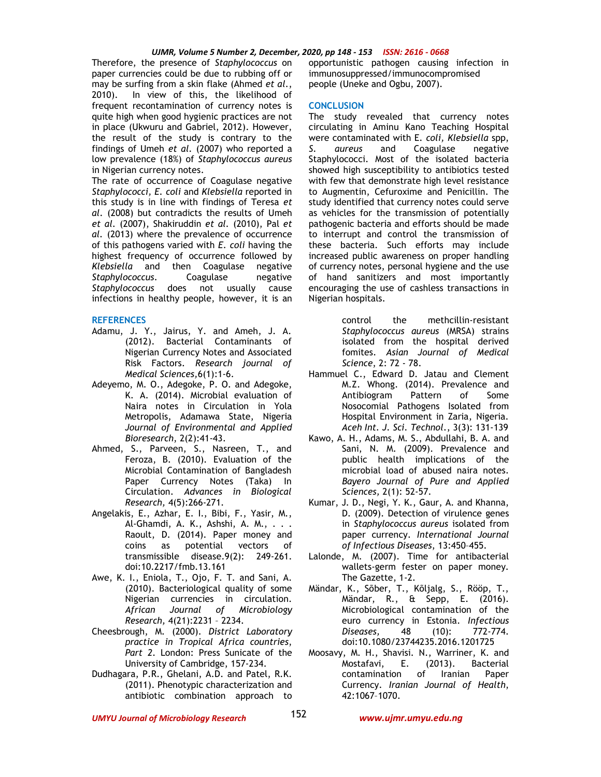Therefore, the presence of *Staphylococcus* on paper currencies could be due to rubbing off or may be surfing from a skin flake (Ahmed *et al*., 2010). In view of this, the likelihood of frequent recontamination of currency notes is quite high when good hygienic practices are not in place (Ukwuru and Gabriel, 2012). However, the result of the study is contrary to the findings of Umeh *et al.* (2007) who reported a low prevalence (18%) of *Staphylococcus aureus* in Nigerian currency notes.

The rate of occurrence of Coagulase negative *Staphylococci, E. coli* and *Klebsiella* reported in this study is in line with findings of Teresa *et al*. (2008) but contradicts the results of Umeh *et al.* (2007), Shakiruddin *et al.* (2010), Pal *et al.* (2013) where the prevalence of occurrence of this pathogens varied with *E*. *coli* having the highest frequency of occurrence followed by *Klebsiella* and then Coagulase negative *Staphylococcus*. Coagulase negative *Staphylococcus* does not usually cause infections in healthy people, however, it is an

#### **REFERENCES**

- Adamu, J. Y., Jairus, Y. and Ameh, J. A. (2012). Bacterial Contaminants of Nigerian Currency Notes and Associated Risk Factors. *Research journal of Medical Sciences,*6(1):1-6.
- Adeyemo, M. O., Adegoke, P. O. and Adegoke, K. A. (2014). Microbial evaluation of Naira notes in Circulation in Yola Metropolis, Adamawa State, Nigeria *Journal of Environmental and Applied Bioresearch*, 2(2):41-43.
- Ahmed, S., Parveen, S., Nasreen, T., and Feroza, B. (2010). Evaluation of the Microbial Contamination of Bangladesh Paper Currency Notes (Taka) In Circulation. *Advances in Biological Research,* 4(5):266-271.
- Angelakis, E., Azhar, E. I., Bibi, F., Yasir, M., Al-Ghamdi, A. K., Ashshi, A. M., . . . Raoult, D. (2014). Paper money and coins as potential vectors of transmissible disease.9(2): 249-261. doi:10.2217/fmb.13.161
- Awe, K. I., Eniola, T., Ojo, F. T. and Sani, A. (2010). Bacteriological quality of some Nigerian currencies in circulation. *African Journal of Microbiology Research,* 4(21):2231 – 2234.
- Cheesbrough, M. (2000). *District Laboratory practice in Tropical Africa countries*, *Part 2*. London: Press Sunicate of the University of Cambridge, 157-234.
- Dudhagara, P.R., Ghelani, A.D. and Patel, R.K. (2011). Phenotypic characterization and antibiotic combination approach to

opportunistic pathogen causing infection in immunosuppressed/immunocompromised people (Uneke and Ogbu, 2007).

#### **CONCLUSION**

The study revealed that currency notes circulating in Aminu Kano Teaching Hospital were contaminated with E*. coli, Klebsiella* spp, *S. aureus* and Coagulase negative Staphylococci. Most of the isolated bacteria showed high susceptibility to antibiotics tested with few that demonstrate high level resistance to Augmentin, Cefuroxime and Penicillin. The study identified that currency notes could serve as vehicles for the transmission of potentially pathogenic bacteria and efforts should be made to interrupt and control the transmission of these bacteria. Such efforts may include increased public awareness on proper handling of currency notes, personal hygiene and the use of hand sanitizers and most importantly encouraging the use of cashless transactions in Nigerian hospitals.

> control the methcillin-resistant *Staphylococcus aureus* (MRSA) strains isolated from the hospital derived fomites. *Asian Journal of Medical Science*, 2: 72 - 78.

- Hammuel C., Edward D. Jatau and Clement M.Z. Whong. (2014). Prevalence and Antibiogram Pattern of Some Nosocomial Pathogens Isolated from Hospital Environment in Zaria, Nigeria. *Aceh Int. J. Sci. Technol*., 3(3): 131-139
- Kawo, A. H., Adams, M. S., Abdullahi, B. A. and Sani, N. M. (2009). Prevalence and public health implications of the microbial load of abused naira notes. *Bayero Journal of Pure and Applied Sciences,* 2(1): 52-57.
- Kumar, J. D., Negi, Y. K., Gaur, A. and Khanna, D. (2009). Detection of virulence genes in *Staphylococcus aureus* isolated from paper currency. *International Journal of Infectious Diseases*, 13:450–455.
- Lalonde, M. (2007). Time for antibacterial wallets-germ fester on paper money. The Gazette, 1-2.
- Mändar, K., Sõber, T., Kõljalg, S., Rööp, T., Mändar, R., & Sepp, E. (2016). Microbiological contamination of the euro currency in Estonia. *Infectious Diseases,* 48 (10): 772-774. doi:10.1080/23744235.2016.1201725
- Moosavy, M. H., Shavisi. N., Warriner, K. and Mostafavi, E. (2013). Bacterial contamination of Iranian Paper Currency. *Iranian Journal of Health*, 42:1067–1070.

*UMYU Journal of Microbiology Research www.ujmr.umyu.edu.ng*

152